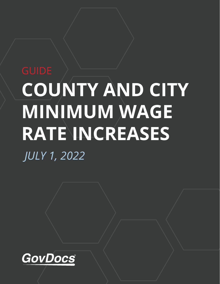# **COUNTY AND CITY MINIMUM WAGE RATE INCREASES** *JULY 1, 2022*

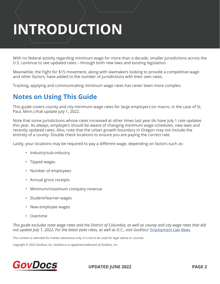## **INTRODUCTION**

With no federal activity regarding minimum wage for more than a decade, smaller jurisdictions across the U.S. continue to see updated rates – through both new laws and existing legislation.

Meanwhile, the Fight for \$15 movement, along with lawmakers looking to provide a competitive wage and other factors, have added to the number of jurisdictions with their own rates.

Tracking, applying and communicating minimum wage rates has never been more complex.

#### **Notes on Using This Guide**

This guide covers county and city minimum wage rates for large employers (or macro, in the case of St. Paul, Minn.) that update July 1, 2022.

Note that some jurisdictions whose rates increased at other times last year do have July 1 rate updates this year. As always, employers should be aware of changing minimum wage schedules, new laws and recently updated rates. Also, note that the urban growth boundary in Oregon may not include the entirety of a county. Double check locations to ensure you are paying the correct rate.

Lastly, your locations may be required to pay a different wage, depending on factors such as:

- Industry/sub-industry
- Tipped wages
- Number of employees
- Annual gross receipts
- Minimum/maximum company revenue
- Student/learner wages
- New employee wages
- Overtime

*This guide excludes state wage rates and the District of Columbia, as well as county and city wage rates that did not update July 1, 2022. For the latest state rates, as well as D.C., visit GovDocs' [Employment Law News](https://www.govdocs.com/home-page/resources/blog/).* 

This content is intended for market awareness only, it is not to be used for legal advice or counsel.

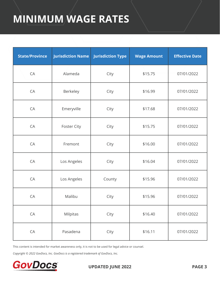| <b>State/Province</b> | <b>Jurisdiction Name</b> | <b>Jurisdiction Type</b> | <b>Wage Amount</b> | <b>Effective Date</b> |
|-----------------------|--------------------------|--------------------------|--------------------|-----------------------|
| CA                    | Alameda                  | City                     | \$15.75            | 07/01/2022            |
| CA                    | Berkeley                 | City                     | \$16.99            | 07/01/2022            |
| CA                    | Emeryville               | City                     | \$17.68            | 07/01/2022            |
| CA                    | Foster City              | City                     | \$15.75            | 07/01/2022            |
| CA                    | Fremont                  | City                     | \$16.00            | 07/01/2022            |
| CA                    | Los Angeles              | City                     | \$16.04            | 07/01/2022            |
| CA                    | Los Angeles              | County                   | \$15.96            | 07/01/2022            |
| CA                    | Malibu                   | City                     | \$15.96            | 07/01/2022            |
| CA                    | Milpitas                 | City                     | \$16.40            | 07/01/2022            |
| CA                    | Pasadena                 | City                     | \$16.11            | 07/01/2022            |

This content is intended for market awareness only, it is not to be used for legal advice or counsel.

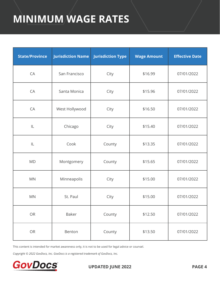| <b>State/Province</b> | <b>Jurisdiction Name</b> | <b>Jurisdiction Type</b> | <b>Wage Amount</b> | <b>Effective Date</b> |
|-----------------------|--------------------------|--------------------------|--------------------|-----------------------|
| CA                    | San Francisco            | City                     | \$16.99            | 07/01/2022            |
| CA                    | Santa Monica             | City                     | \$15.96            | 07/01/2022            |
| CA                    | West Hollywood           | City                     | \$16.50            | 07/01/2022            |
| $\mathsf{IL}$         | Chicago                  | City                     | \$15.40            | 07/01/2022            |
| $\mathsf{IL}$         | Cook                     | County                   | \$13.35            | 07/01/2022            |
| <b>MD</b>             | Montgomery               | County                   | \$15.65            | 07/01/2022            |
| <b>MN</b>             | Minneapolis              | City                     | \$15.00            | 07/01/2022            |
| <b>MN</b>             | St. Paul                 | City                     | \$15.00            | 07/01/2022            |
| OR                    | Baker                    | County                   | \$12.50            | 07/01/2022            |
| OR                    | Benton                   | County                   | \$13.50            | 07/01/2022            |

This content is intended for market awareness only, it is not to be used for legal advice or counsel.

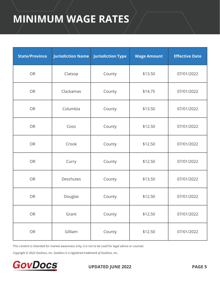| <b>State/Province</b> | <b>Jurisdiction Name</b> | <b>Jurisdiction Type</b> | <b>Wage Amount</b> | <b>Effective Date</b> |
|-----------------------|--------------------------|--------------------------|--------------------|-----------------------|
| <b>OR</b>             | Clatsop                  | County                   | \$13.50            | 07/01/2022            |
| <b>OR</b>             | Clackamas                | County                   | \$14.75            | 07/01/2022            |
| <b>OR</b>             | Columbia                 | County                   | \$13.50            | 07/01/2022            |
| <b>OR</b>             | Coos                     | County                   | \$12.50            | 07/01/2022            |
| <b>OR</b>             | Crook                    | County                   | \$12.50            | 07/01/2022            |
| <b>OR</b>             | Curry                    | County                   | \$12.50            | 07/01/2022            |
| <b>OR</b>             | Deschutes                | County                   | \$13.50            | 07/01/2022            |
| <b>OR</b>             | Douglas                  | County                   | \$12.50            | 07/01/2022            |
| OR                    | Grant                    | County                   | \$12.50            | 07/01/2022            |
| ${\sf OR}$            | Gilliam                  | County                   | \$12.50            | 07/01/2022            |

This content is intended for market awareness only, it is not to be used for legal advice or counsel.

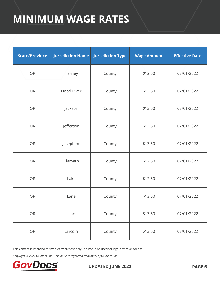| <b>State/Province</b> | <b>Jurisdiction Name</b> | <b>Jurisdiction Type</b> | <b>Wage Amount</b> | <b>Effective Date</b> |
|-----------------------|--------------------------|--------------------------|--------------------|-----------------------|
| <b>OR</b>             | Harney                   | County                   | \$12.50            | 07/01/2022            |
| <b>OR</b>             | <b>Hood River</b>        | County                   | \$13.50            | 07/01/2022            |
| <b>OR</b>             | Jackson                  | County                   | \$13.50            | 07/01/2022            |
| <b>OR</b>             | Jefferson                | County                   | \$12.50            | 07/01/2022            |
| <b>OR</b>             | Josephine                | County                   | \$13.50            | 07/01/2022            |
| <b>OR</b>             | Klamath                  | County                   | \$12.50            | 07/01/2022            |
| <b>OR</b>             | Lake                     | County                   | \$12.50            | 07/01/2022            |
| <b>OR</b>             | Lane                     | County                   | \$13.50            | 07/01/2022            |
| OR                    | Linn                     | County                   | \$13.50            | 07/01/2022            |
| OR                    | Lincoln                  | County                   | \$13.50            | 07/01/2022            |

This content is intended for market awareness only, it is not to be used for legal advice or counsel.

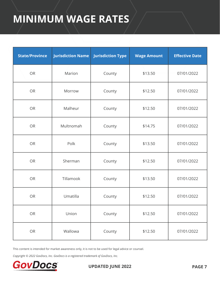| <b>State/Province</b> | <b>Jurisdiction Name</b> | <b>Jurisdiction Type</b> | <b>Wage Amount</b> | <b>Effective Date</b> |
|-----------------------|--------------------------|--------------------------|--------------------|-----------------------|
| <b>OR</b>             | Marion                   | County                   | \$13.50            | 07/01/2022            |
| <b>OR</b>             | Morrow                   | County                   | \$12.50            | 07/01/2022            |
| <b>OR</b>             | Malheur                  | County                   | \$12.50            | 07/01/2022            |
| <b>OR</b>             | Multnomah                | County                   | \$14.75            | 07/01/2022            |
| <b>OR</b>             | Polk                     | County                   | \$13.50            | 07/01/2022            |
| <b>OR</b>             | Sherman                  | County                   | \$12.50            | 07/01/2022            |
| <b>OR</b>             | Tillamook                | County                   | \$13.50            | 07/01/2022            |
| <b>OR</b>             | Umatilla                 | County                   | \$12.50            | 07/01/2022            |
| OR                    | Union                    | County                   | \$12.50            | 07/01/2022            |
| OR                    | Wallowa                  | County                   | \$12.50            | 07/01/2022            |

This content is intended for market awareness only, it is not to be used for legal advice or counsel.

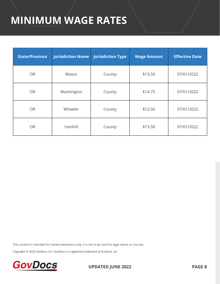| <b>State/Province</b> | Jurisdiction Name | <b>Jurisdiction Type</b> | <b>Wage Amount</b> | <b>Effective Date</b> |
|-----------------------|-------------------|--------------------------|--------------------|-----------------------|
| <b>OR</b>             | Wasco             | County                   | \$13.50            | 07/01/2022            |
| <b>OR</b>             | Washington        | County                   | \$14.75            | 07/01/2022            |
| <b>OR</b>             | Wheeler           | County                   | \$12.50            | 07/01/2022            |
| <b>OR</b>             | Yamhill           | County                   | \$13.50            | 07/01/2022            |

This content is intended for market awareness only, it is not to be used for legal advice or counsel.